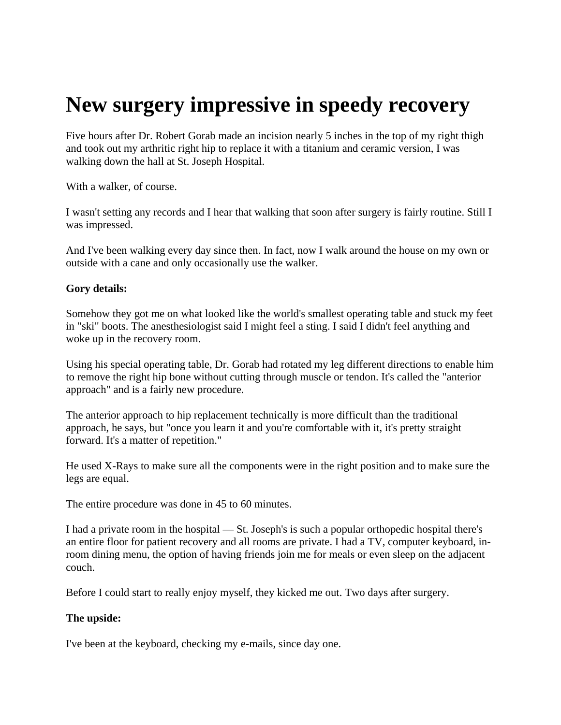# **New surgery impressive in speedy recovery**

Five hours after Dr. Robert Gorab made an incision nearly 5 inches in the top of my right thigh and took out my arthritic right hip to replace it with a titanium and ceramic version, I was walking down the hall at St. Joseph Hospital.

With a walker, of course.

I wasn't setting any records and I hear that walking that soon after surgery is fairly routine. Still I was impressed.

And I've been walking every day since then. In fact, now I walk around the house on my own or outside with a cane and only occasionally use the walker.

## **Gory details:**

Somehow they got me on what looked like the world's smallest operating table and stuck my feet in "ski" boots. The anesthesiologist said I might feel a sting. I said I didn't feel anything and woke up in the recovery room.

Using his special operating table, Dr. Gorab had rotated my leg different directions to enable him to remove the right hip bone without cutting through muscle or tendon. It's called the "anterior approach" and is a fairly new procedure.

The anterior approach to hip replacement technically is more difficult than the traditional approach, he says, but "once you learn it and you're comfortable with it, it's pretty straight forward. It's a matter of repetition."

He used X-Rays to make sure all the components were in the right position and to make sure the legs are equal.

The entire procedure was done in 45 to 60 minutes.

I had a private room in the hospital — St. Joseph's is such a popular orthopedic hospital there's an entire floor for patient recovery and all rooms are private. I had a TV, computer keyboard, inroom dining menu, the option of having friends join me for meals or even sleep on the adjacent couch.

Before I could start to really enjoy myself, they kicked me out. Two days after surgery.

# **The upside:**

I've been at the keyboard, checking my e-mails, since day one.